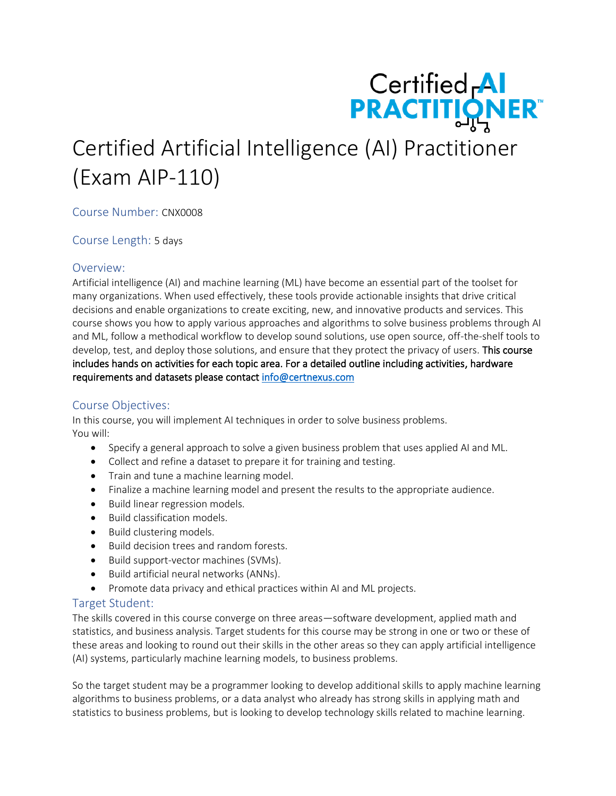

# Certified Artificial Intelligence (AI) Practitioner (Exam AIP-110)

Course Number: CNX0008

Course Length: 5 days

## Overview:

Artificial intelligence (AI) and machine learning (ML) have become an essential part of the toolset for many organizations. When used effectively, these tools provide actionable insights that drive critical decisions and enable organizations to create exciting, new, and innovative products and services. This course shows you how to apply various approaches and algorithms to solve business problems through AI and ML, follow a methodical workflow to develop sound solutions, use open source, off-the-shelf tools to develop, test, and deploy those solutions, and ensure that they protect the privacy of users. This course includes hands on activities for each topic area. For a detailed outline including activities, hardware requirements and datasets please contact [info@certnexus.com](mailto:info@certnexus.com) 

## Course Objectives:

In this course, you will implement AI techniques in order to solve business problems. You will:

- Specify a general approach to solve a given business problem that uses applied AI and ML.
- Collect and refine a dataset to prepare it for training and testing.
- Train and tune a machine learning model.
- Finalize a machine learning model and present the results to the appropriate audience.
- Build linear regression models.
- Build classification models.
- Build clustering models.
- Build decision trees and random forests.
- Build support-vector machines (SVMs).
- Build artificial neural networks (ANNs).
- Promote data privacy and ethical practices within AI and ML projects.

## Target Student:

The skills covered in this course converge on three areas—software development, applied math and statistics, and business analysis. Target students for this course may be strong in one or two or these of these areas and looking to round out their skills in the other areas so they can apply artificial intelligence (AI) systems, particularly machine learning models, to business problems.

So the target student may be a programmer looking to develop additional skills to apply machine learning algorithms to business problems, or a data analyst who already has strong skills in applying math and statistics to business problems, but is looking to develop technology skills related to machine learning.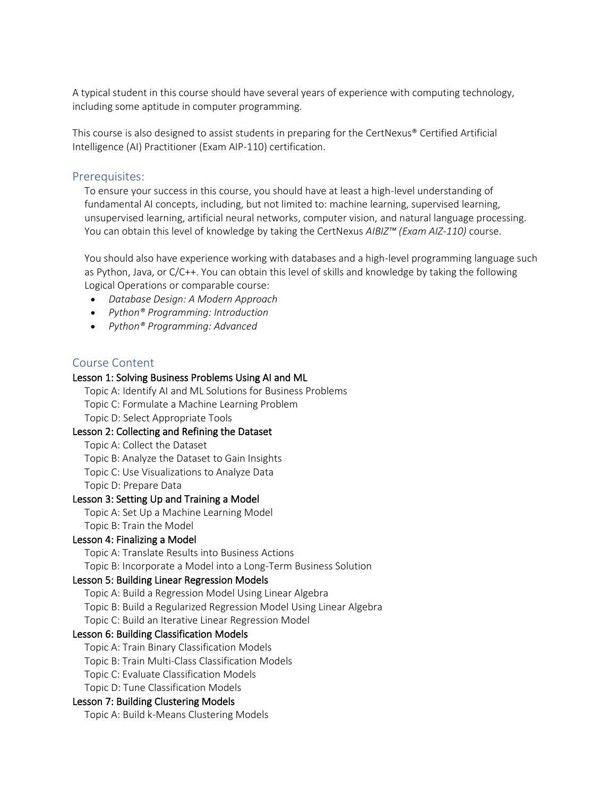A typical student in this course should have several years of experience with computing technology, including some aptitude in computer programming.

This course is also designed to assist students in preparing for the CertNexus® Certified Artificial Intelligence (AI) Practitioner (Exam AIP-110) certification.

## Prerequisites:

To ensure your success in this course, you should have at least a high-level understanding of fundamental AI concepts, including, but not limited to: machine learning, supervised learning, unsupervised learning, artificial neural networks, computer vision, and natural language processing. You can obtain this level of knowledge by taking the CertNexus *AIBIZ™ (Exam AIZ-110)* course.

You should also have experience working with databases and a high-level programming language such as Python, Java, or C/C++. You can obtain this level of skills and knowledge by taking the following Logical Operations or comparable course:

- *Database Design: A Modern Approach*
- *Python® Programming: Introduction*
- *Python® Programming: Advanced*

### Course Content

#### Lesson 1: Solving Business Problems Using AI and ML

Topic A: Identify AI and ML Solutions for Business Problems Topic C: Formulate a Machine Learning Problem Topic D: Select Appropriate Tools

#### Lesson 2: Collecting and Refining the Dataset

Topic A: Collect the Dataset

Topic B: Analyze the Dataset to Gain Insights

Topic C: Use Visualizations to Analyze Data

Topic D: Prepare Data

#### Lesson 3: Setting Up and Training a Model

Topic A: Set Up a Machine Learning Model Topic B: Train the Model

#### Lesson 4: Finalizing a Model

Topic A: Translate Results into Business Actions

Topic B: Incorporate a Model into a Long-Term Business Solution

#### Lesson 5: Building Linear Regression Models

Topic A: Build a Regression Model Using Linear Algebra

Topic B: Build a Regularized Regression Model Using Linear Algebra

Topic C: Build an Iterative Linear Regression Model

#### Lesson 6: Building Classification Models

Topic A: Train Binary Classification Models

Topic B: Train Multi-Class Classification Models

Topic C: Evaluate Classification Models

Topic D: Tune Classification Models

#### Lesson 7: Building Clustering Models

Topic A: Build k-Means Clustering Models